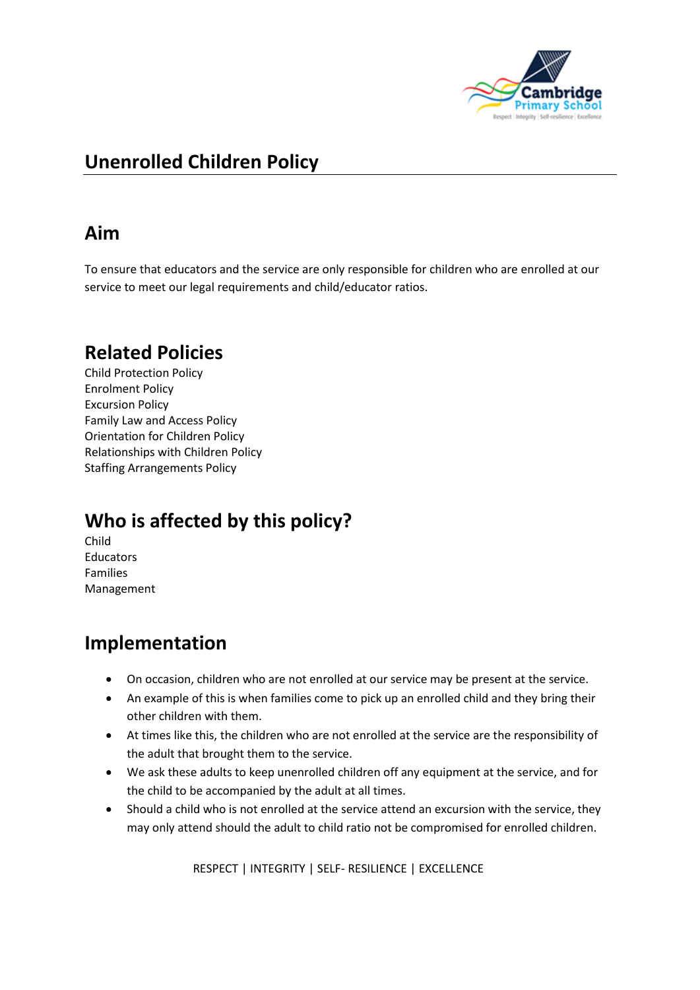

# **Unenrolled Children Policy**

## **Aim**

To ensure that educators and the service are only responsible for children who are enrolled at our service to meet our legal requirements and child/educator ratios.

### **Related Policies**

Child Protection Policy Enrolment Policy Excursion Policy Family Law and Access Policy Orientation for Children Policy Relationships with Children Policy Staffing Arrangements Policy

# **Who is affected by this policy?**

Child Educators Families Management

### **Implementation**

- On occasion, children who are not enrolled at our service may be present at the service.
- An example of this is when families come to pick up an enrolled child and they bring their other children with them.
- At times like this, the children who are not enrolled at the service are the responsibility of the adult that brought them to the service.
- We ask these adults to keep unenrolled children off any equipment at the service, and for the child to be accompanied by the adult at all times.
- Should a child who is not enrolled at the service attend an excursion with the service, they may only attend should the adult to child ratio not be compromised for enrolled children.

RESPECT | INTEGRITY | SELF- RESILIENCE | EXCELLENCE